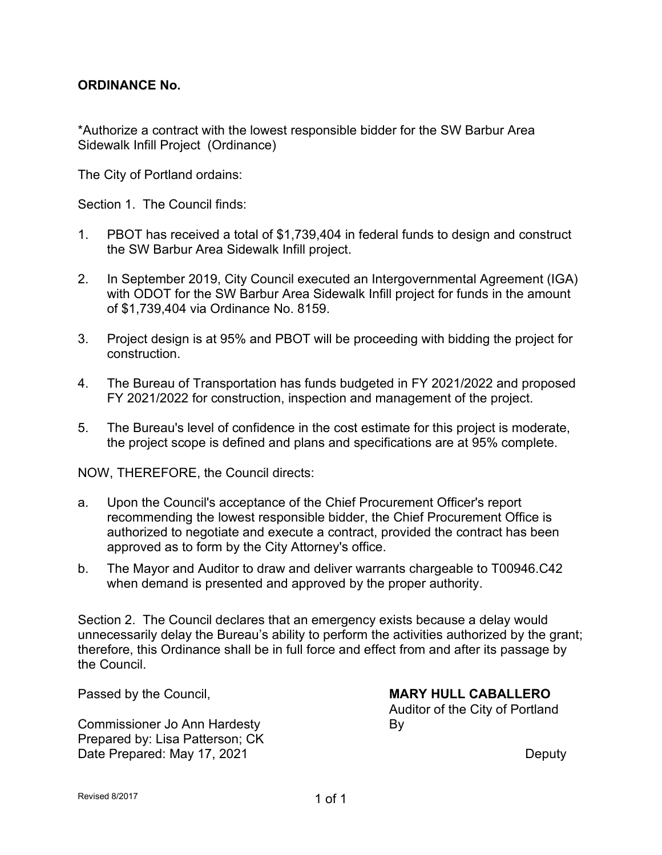### **ORDINANCE No.**

\*Authorize a contract with the lowest responsible bidder for the SW Barbur Area Sidewalk Infill Project (Ordinance)

The City of Portland ordains:

Section 1. The Council finds:

- 1. PBOT has received a total of \$1,739,404 in federal funds to design and construct the SW Barbur Area Sidewalk Infill project.
- 2. In September 2019, City Council executed an Intergovernmental Agreement (IGA) with ODOT for the SW Barbur Area Sidewalk Infill project for funds in the amount of \$1,739,404 via Ordinance No. 8159.
- 3. Project design is at 95% and PBOT will be proceeding with bidding the project for construction.
- 4. The Bureau of Transportation has funds budgeted in FY 2021/2022 and proposed FY 2021/2022 for construction, inspection and management of the project.
- 5. The Bureau's level of confidence in the cost estimate for this project is moderate, the project scope is defined and plans and specifications are at 95% complete.

NOW, THEREFORE, the Council directs:

- a. Upon the Council's acceptance of the Chief Procurement Officer's report recommending the lowest responsible bidder, the Chief Procurement Office is authorized to negotiate and execute a contract, provided the contract has been approved as to form by the City Attorney's office.
- b. The Mayor and Auditor to draw and deliver warrants chargeable to T00946.C42 when demand is presented and approved by the proper authority.

Section 2. The Council declares that an emergency exists because a delay would unnecessarily delay the Bureau's ability to perform the activities authorized by the grant; therefore, this Ordinance shall be in full force and effect from and after its passage by the Council.

Commissioner Jo Ann Hardesty **By** Prepared by: Lisa Patterson; CK Date Prepared: May 17, 2021 **Deputy** 

Passed by the Council, **MARY HULL CABALLERO** Auditor of the City of Portland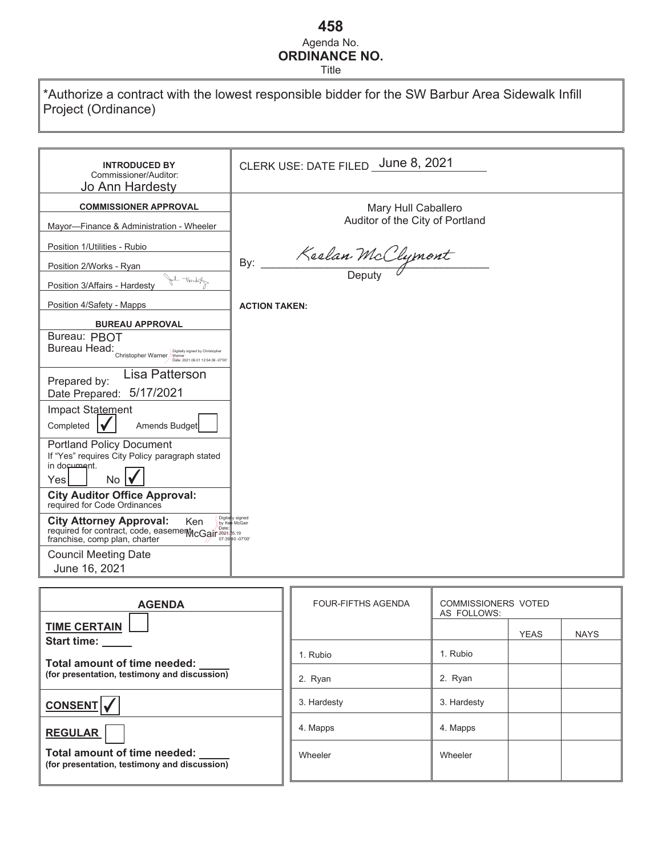# **458** Agenda No. **ORDINANCE NO.**

Title

\*Authorize a contract with the lowest responsible bidder for the SW Barbur Area Sidewalk Infill Project (Ordinance)

| <b>INTRODUCED BY</b><br>Commissioner/Auditor:<br><b>Jo Ann Hardesty</b>                                                                                                                                                                                                                                                           | CLERK USE: DATE FILED _June 8, 2021 |
|-----------------------------------------------------------------------------------------------------------------------------------------------------------------------------------------------------------------------------------------------------------------------------------------------------------------------------------|-------------------------------------|
| <b>COMMISSIONER APPROVAL</b>                                                                                                                                                                                                                                                                                                      | Mary Hull Caballero                 |
| Mayor-Finance & Administration - Wheeler                                                                                                                                                                                                                                                                                          | Auditor of the City of Portland     |
| Position 1/Utilities - Rubio                                                                                                                                                                                                                                                                                                      |                                     |
| Position 2/Works - Ryan                                                                                                                                                                                                                                                                                                           | Keelan McClymont<br>By:             |
| ol Nording<br>Position 3/Affairs - Hardesty                                                                                                                                                                                                                                                                                       |                                     |
| Position 4/Safety - Mapps                                                                                                                                                                                                                                                                                                         | <b>ACTION TAKEN:</b>                |
| <b>BUREAU APPROVAL</b>                                                                                                                                                                                                                                                                                                            |                                     |
| Bureau: PBOT<br>Bureau Head:<br>Digitally signed by Christopher<br>Christopher Warner / Warner<br>Date: 2021.06.01 12:54:36 -07'00                                                                                                                                                                                                |                                     |
| Lisa Patterson<br>Prepared by:<br>5/17/2021<br>Date Prepared:                                                                                                                                                                                                                                                                     |                                     |
| Impact Statement<br>Completed<br>Amends Budget                                                                                                                                                                                                                                                                                    |                                     |
| <b>Portland Policy Document</b><br>If "Yes" requires City Policy paragraph stated<br>in document.<br>No<br>Yes                                                                                                                                                                                                                    |                                     |
| <b>City Auditor Office Approval:</b><br>required for Code Ordinances                                                                                                                                                                                                                                                              |                                     |
| Digita<br><b>City Attorney Approval:</b><br>Ken<br>by Ke<br><b>UILY ALLUITING COOL CASEMENT COOLS AND CONTRACT PORTLAND COOLS COOLS AND COOLS COOLS COOLS COOLS COOLS COOLS COOLS COOLS COOLS COOLS COOLS COOLS COOLS COOLS COOLS COOLS COOLS COOLS COOLS COOLS COOLS COOLS COOLS COOLS COOL</b><br>franchise, comp plan, charter | y signed<br>McGair                  |
| <b>Council Meeting Date</b><br>June 16, 2021                                                                                                                                                                                                                                                                                      |                                     |

| <b>AGENDA</b>                                                                | <b>FOUR-FIFTHS AGENDA</b> | <b>COMMISSIONERS VOTED</b><br>AS FOLLOWS: |
|------------------------------------------------------------------------------|---------------------------|-------------------------------------------|
| <b>TIME CERTAIN</b><br><b>Start time:</b>                                    |                           | <b>YEAS</b><br><b>NAYS</b>                |
| Total amount of time needed:                                                 | 1. Rubio                  | 1. Rubio                                  |
| (for presentation, testimony and discussion)                                 | 2. Ryan                   | 2. Ryan                                   |
| <b>CONSENT</b>                                                               | 3. Hardesty               | 3. Hardesty                               |
| <b>REGULAR</b>                                                               | 4. Mapps                  | 4. Mapps                                  |
| Total amount of time needed:<br>(for presentation, testimony and discussion) | Wheeler                   | Wheeler                                   |
|                                                                              |                           |                                           |